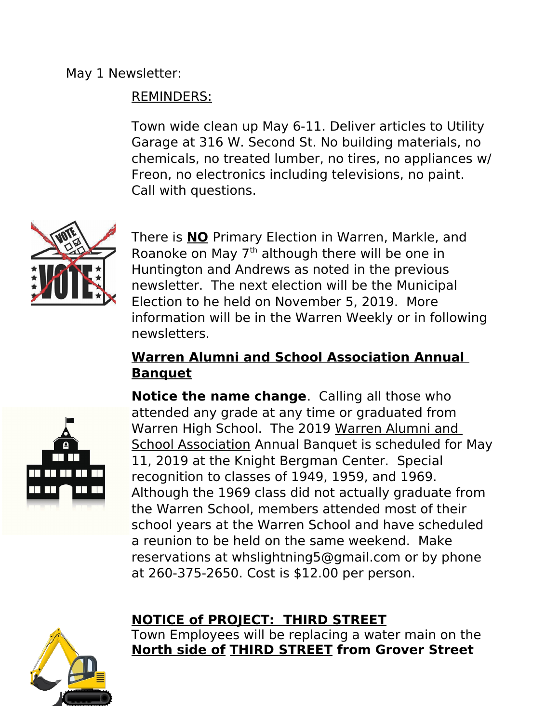## REMINDERS:

Town wide clean up May 6-11. Deliver articles to Utility Garage at 316 W. Second St. No building materials, no chemicals, no treated lumber, no tires, no appliances w/ Freon, no electronics including televisions, no paint. Call with questions.



There is **NO** Primary Election in Warren, Markle, and Roanoke on May 7<sup>th</sup> although there will be one in Huntington and Andrews as noted in the previous newsletter. The next election will be the Municipal Election to he held on November 5, 2019. More information will be in the Warren Weekly or in following newsletters.

## **Warren Alumni and School Association Annual Banquet**



**Notice the name change**. Calling all those who attended any grade at any time or graduated from Warren High School. The 2019 Warren Alumni and School Association Annual Banquet is scheduled for May 11, 2019 at the Knight Bergman Center. Special recognition to classes of 1949, 1959, and 1969. Although the 1969 class did not actually graduate from the Warren School, members attended most of their school years at the Warren School and have scheduled a reunion to be held on the same weekend. Make reservations at whslightning5@gmail.com or by phone at 260-375-2650. Cost is \$12.00 per person.

## **NOTICE of PROJECT: THIRD STREET**



Town Employees will be replacing a water main on the **North side of THIRD STREET from Grover Street**